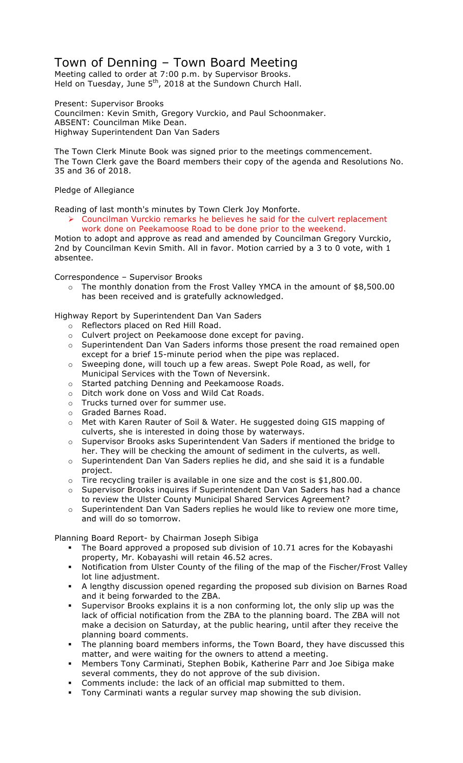## Town of Denning – Town Board Meeting

Meeting called to order at 7:00 p.m. by Supervisor Brooks. Held on Tuesday, June  $5<sup>th</sup>$ , 2018 at the Sundown Church Hall.

Present: Supervisor Brooks Councilmen: Kevin Smith, Gregory Vurckio, and Paul Schoonmaker. ABSENT: Councilman Mike Dean. Highway Superintendent Dan Van Saders

The Town Clerk Minute Book was signed prior to the meetings commencement. The Town Clerk gave the Board members their copy of the agenda and Resolutions No. 35 and 36 of 2018.

Pledge of Allegiance

Reading of last month's minutes by Town Clerk Joy Monforte.

! Councilman Vurckio remarks he believes he said for the culvert replacement work done on Peekamoose Road to be done prior to the weekend.

Motion to adopt and approve as read and amended by Councilman Gregory Vurckio, 2nd by Councilman Kevin Smith. All in favor. Motion carried by a 3 to 0 vote, with 1 absentee.

Correspondence – Supervisor Brooks

 $\circ$  The monthly donation from the Frost Valley YMCA in the amount of \$8,500.00 has been received and is gratefully acknowledged.

Highway Report by Superintendent Dan Van Saders

- o Reflectors placed on Red Hill Road.
- o Culvert project on Peekamoose done except for paving.
- $\circ$  Superintendent Dan Van Saders informs those present the road remained open except for a brief 15-minute period when the pipe was replaced.
- o Sweeping done, will touch up a few areas. Swept Pole Road, as well, for Municipal Services with the Town of Neversink.
- o Started patching Denning and Peekamoose Roads.
- o Ditch work done on Voss and Wild Cat Roads.
- o Trucks turned over for summer use.
- o Graded Barnes Road.
- o Met with Karen Rauter of Soil & Water. He suggested doing GIS mapping of culverts, she is interested in doing those by waterways.
- o Supervisor Brooks asks Superintendent Van Saders if mentioned the bridge to her. They will be checking the amount of sediment in the culverts, as well.
- o Superintendent Dan Van Saders replies he did, and she said it is a fundable project.
- $\circ$  Tire recycling trailer is available in one size and the cost is \$1,800.00.
- o Supervisor Brooks inquires if Superintendent Dan Van Saders has had a chance to review the Ulster County Municipal Shared Services Agreement?
- o Superintendent Dan Van Saders replies he would like to review one more time, and will do so tomorrow.

Planning Board Report- by Chairman Joseph Sibiga

- The Board approved a proposed sub division of 10.71 acres for the Kobayashi property, Mr. Kobayashi will retain 46.52 acres.
- " Notification from Ulster County of the filing of the map of the Fischer/Frost Valley lot line adjustment.
- " A lengthy discussion opened regarding the proposed sub division on Barnes Road and it being forwarded to the ZBA.
- Supervisor Brooks explains it is a non conforming lot, the only slip up was the lack of official notification from the ZBA to the planning board. The ZBA will not make a decision on Saturday, at the public hearing, until after they receive the planning board comments.
- The planning board members informs, the Town Board, they have discussed this matter, and were waiting for the owners to attend a meeting.
- " Members Tony Carminati, Stephen Bobik, Katherine Parr and Joe Sibiga make several comments, they do not approve of the sub division.
- Comments include: the lack of an official map submitted to them.
- " Tony Carminati wants a regular survey map showing the sub division.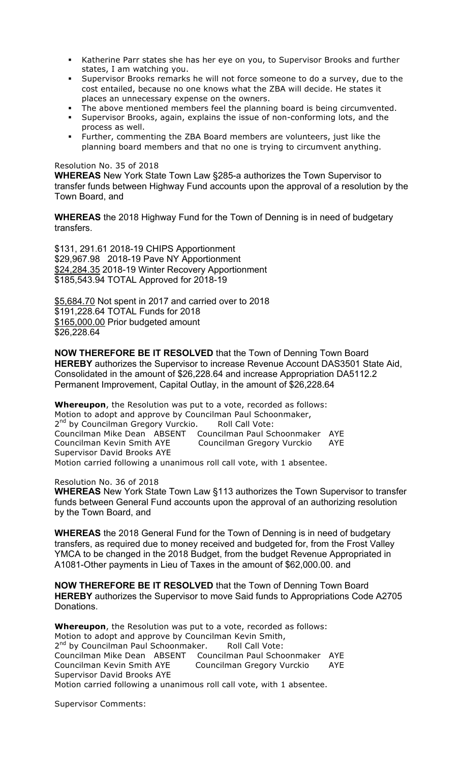- Katherine Parr states she has her eye on you, to Supervisor Brooks and further states, I am watching you.
- Supervisor Brooks remarks he will not force someone to do a survey, due to the cost entailed, because no one knows what the ZBA will decide. He states it places an unnecessary expense on the owners.
- The above mentioned members feel the planning board is being circumvented.
- " Supervisor Brooks, again, explains the issue of non-conforming lots, and the process as well.
- " Further, commenting the ZBA Board members are volunteers, just like the planning board members and that no one is trying to circumvent anything.

## Resolution No. 35 of 2018

**WHEREAS** New York State Town Law §285-a authorizes the Town Supervisor to transfer funds between Highway Fund accounts upon the approval of a resolution by the Town Board, and

**WHEREAS** the 2018 Highway Fund for the Town of Denning is in need of budgetary transfers.

\$131, 291.61 2018-19 CHIPS Apportionment \$29,967.98 2018-19 Pave NY Apportionment \$24,284.35 2018-19 Winter Recovery Apportionment \$185,543.94 TOTAL Approved for 2018-19

\$5,684.70 Not spent in 2017 and carried over to 2018 \$191,228.64 TOTAL Funds for 2018 \$165,000.00 Prior budgeted amount \$26,228.64

**NOW THEREFORE BE IT RESOLVED** that the Town of Denning Town Board **HEREBY** authorizes the Supervisor to increase Revenue Account DAS3501 State Aid, Consolidated in the amount of \$26,228.64 and increase Appropriation DA5112.2 Permanent Improvement, Capital Outlay, in the amount of \$26,228.64

**Whereupon**, the Resolution was put to a vote, recorded as follows: Motion to adopt and approve by Councilman Paul Schoonmaker, 2<sup>nd</sup> by Councilman Gregory Vurckio. Roll Call Vote: Councilman Mike Dean ABSENT Councilman Paul Schoonmaker AYE Councilman Kevin Smith AYE Councilman Gregory Vurckio AYE Supervisor David Brooks AYE Motion carried following a unanimous roll call vote, with 1 absentee.

Resolution No. 36 of 2018

**WHEREAS** New York State Town Law §113 authorizes the Town Supervisor to transfer funds between General Fund accounts upon the approval of an authorizing resolution by the Town Board, and

**WHEREAS** the 2018 General Fund for the Town of Denning is in need of budgetary transfers, as required due to money received and budgeted for, from the Frost Valley YMCA to be changed in the 2018 Budget, from the budget Revenue Appropriated in A1081-Other payments in Lieu of Taxes in the amount of \$62,000.00. and

**NOW THEREFORE BE IT RESOLVED** that the Town of Denning Town Board **HEREBY** authorizes the Supervisor to move Said funds to Appropriations Code A2705 Donations.

**Whereupon**, the Resolution was put to a vote, recorded as follows: Motion to adopt and approve by Councilman Kevin Smith, 2<sup>nd</sup> by Councilman Paul Schoonmaker. Roll Call Vote: Councilman Mike Dean ABSENT Councilman Paul Schoonmaker AYE Councilman Kevin Smith AYE Councilman Gregory Vurckio AYE Supervisor David Brooks AYE Motion carried following a unanimous roll call vote, with 1 absentee.

Supervisor Comments: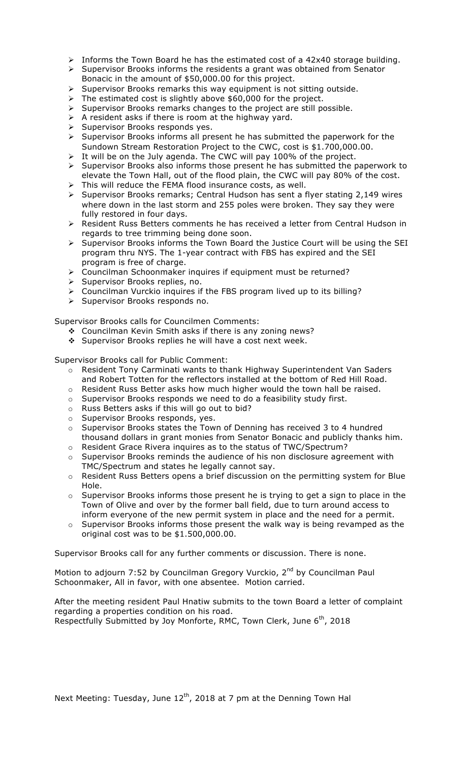- $\triangleright$  Informs the Town Board he has the estimated cost of a 42x40 storage building.
- $\triangleright$  Supervisor Brooks informs the residents a grant was obtained from Senator Bonacic in the amount of \$50,000.00 for this project.
- $\triangleright$  Supervisor Brooks remarks this way equipment is not sitting outside.
- $\triangleright$  The estimated cost is slightly above \$60,000 for the project.
- $\triangleright$  Supervisor Brooks remarks changes to the project are still possible.
- $\triangleright$  A resident asks if there is room at the highway yard.
- $\triangleright$  Supervisor Brooks responds yes.
- $\triangleright$  Supervisor Brooks informs all present he has submitted the paperwork for the Sundown Stream Restoration Project to the CWC, cost is \$1.700,000.00.
- $\triangleright$  It will be on the July agenda. The CWC will pay 100% of the project.
- $\triangleright$  Supervisor Brooks also informs those present he has submitted the paperwork to elevate the Town Hall, out of the flood plain, the CWC will pay 80% of the cost.
- $\triangleright$  This will reduce the FEMA flood insurance costs, as well.
- $\triangleright$  Supervisor Brooks remarks; Central Hudson has sent a flyer stating 2,149 wires where down in the last storm and 255 poles were broken. They say they were fully restored in four days.
- > Resident Russ Betters comments he has received a letter from Central Hudson in regards to tree trimming being done soon.
- ! Supervisor Brooks informs the Town Board the Justice Court will be using the SEI program thru NYS. The 1-year contract with FBS has expired and the SEI program is free of charge.
- ! Councilman Schoonmaker inquires if equipment must be returned?
- > Supervisor Brooks replies, no.
- ! Councilman Vurckio inquires if the FBS program lived up to its billing?
- > Supervisor Brooks responds no.

Supervisor Brooks calls for Councilmen Comments:

- ◆ Councilman Kevin Smith asks if there is any zoning news?
- ◆ Supervisor Brooks replies he will have a cost next week.

Supervisor Brooks call for Public Comment:

- o Resident Tony Carminati wants to thank Highway Superintendent Van Saders and Robert Totten for the reflectors installed at the bottom of Red Hill Road.
- o Resident Russ Better asks how much higher would the town hall be raised.
- o Supervisor Brooks responds we need to do a feasibility study first.
- o Russ Betters asks if this will go out to bid?
- o Supervisor Brooks responds, yes.
- o Supervisor Brooks states the Town of Denning has received 3 to 4 hundred thousand dollars in grant monies from Senator Bonacic and publicly thanks him.
- o Resident Grace Rivera inquires as to the status of TWC/Spectrum?
- o Supervisor Brooks reminds the audience of his non disclosure agreement with TMC/Spectrum and states he legally cannot say.
- $\circ$  Resident Russ Betters opens a brief discussion on the permitting system for Blue Hole.
- $\circ$  Supervisor Brooks informs those present he is trying to get a sign to place in the Town of Olive and over by the former ball field, due to turn around access to inform everyone of the new permit system in place and the need for a permit.
- $\circ$  Supervisor Brooks informs those present the walk way is being revamped as the original cost was to be \$1.500,000.00.

Supervisor Brooks call for any further comments or discussion. There is none.

Motion to adjourn 7:52 by Councilman Gregory Vurckio, 2<sup>nd</sup> by Councilman Paul Schoonmaker, All in favor, with one absentee. Motion carried.

After the meeting resident Paul Hnatiw submits to the town Board a letter of complaint regarding a properties condition on his road. Respectfully Submitted by Joy Monforte, RMC, Town Clerk, June 6<sup>th</sup>, 2018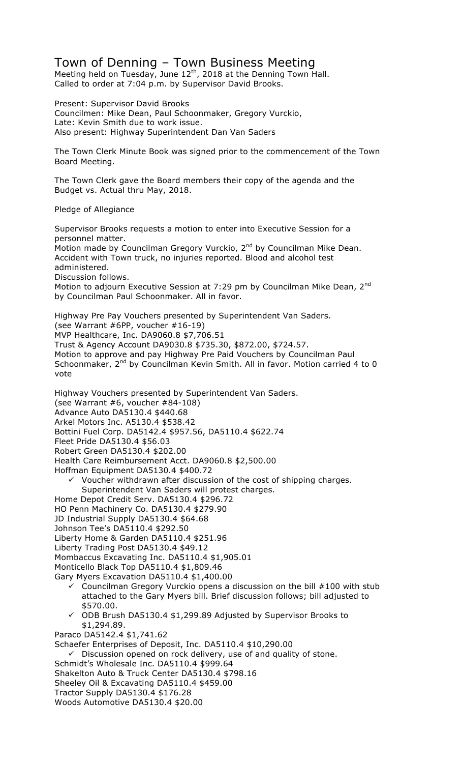## Town of Denning – Town Business Meeting

Meeting held on Tuesday, June  $12<sup>th</sup>$ , 2018 at the Denning Town Hall. Called to order at 7:04 p.m. by Supervisor David Brooks.

Present: Supervisor David Brooks Councilmen: Mike Dean, Paul Schoonmaker, Gregory Vurckio, Late: Kevin Smith due to work issue. Also present: Highway Superintendent Dan Van Saders

The Town Clerk Minute Book was signed prior to the commencement of the Town Board Meeting.

The Town Clerk gave the Board members their copy of the agenda and the Budget vs. Actual thru May, 2018.

Pledge of Allegiance

Supervisor Brooks requests a motion to enter into Executive Session for a personnel matter. Motion made by Councilman Gregory Vurckio, 2<sup>nd</sup> by Councilman Mike Dean. Accident with Town truck, no injuries reported. Blood and alcohol test administered. Discussion follows. Motion to adjourn Executive Session at 7:29 pm by Councilman Mike Dean, 2<sup>nd</sup> by Councilman Paul Schoonmaker. All in favor.

Highway Pre Pay Vouchers presented by Superintendent Van Saders. (see Warrant #6PP, voucher #16-19) MVP Healthcare, Inc. DA9060.8 \$7,706.51 Trust & Agency Account DA9030.8 \$735.30, \$872.00, \$724.57. Motion to approve and pay Highway Pre Paid Vouchers by Councilman Paul Schoonmaker, 2<sup>nd</sup> by Councilman Kevin Smith. All in favor. Motion carried 4 to 0 vote

Highway Vouchers presented by Superintendent Van Saders. (see Warrant #6, voucher #84-108) Advance Auto DA5130.4 \$440.68 Arkel Motors Inc. A5130.4 \$538.42 Bottini Fuel Corp. DA5142.4 \$957.56, DA5110.4 \$622.74 Fleet Pride DA5130.4 \$56.03 Robert Green DA5130.4 \$202.00 Health Care Reimbursement Acct. DA9060.8 \$2,500.00 Hoffman Equipment DA5130.4 \$400.72  $\checkmark$  Voucher withdrawn after discussion of the cost of shipping charges.

- Superintendent Van Saders will protest charges.
- Home Depot Credit Serv. DA5130.4 \$296.72
- HO Penn Machinery Co. DA5130.4 \$279.90
- JD Industrial Supply DA5130.4 \$64.68
- Johnson Tee's DA5110.4 \$292.50 Liberty Home & Garden DA5110.4 \$251.96
- Liberty Trading Post DA5130.4 \$49.12
- Mombaccus Excavating Inc. DA5110.4 \$1,905.01
- Monticello Black Top DA5110.4 \$1,809.46
- Gary Myers Excavation DA5110.4 \$1,400.00
	- Councilman Gregory Vurckio opens a discussion on the bill #100 with stub attached to the Gary Myers bill. Brief discussion follows; bill adjusted to \$570.00.
	- $\checkmark$  ODB Brush DA5130.4 \$1,299.89 Adjusted by Supervisor Brooks to \$1,294.89.
- Paraco DA5142.4 \$1,741.62

Schaefer Enterprises of Deposit, Inc. DA5110.4 \$10,290.00

 $\checkmark$  Discussion opened on rock delivery, use of and quality of stone.

- Schmidt's Wholesale Inc. DA5110.4 \$999.64
- Shakelton Auto & Truck Center DA5130.4 \$798.16
- Sheeley Oil & Excavating DA5110.4 \$459.00
- Tractor Supply DA5130.4 \$176.28
- Woods Automotive DA5130.4 \$20.00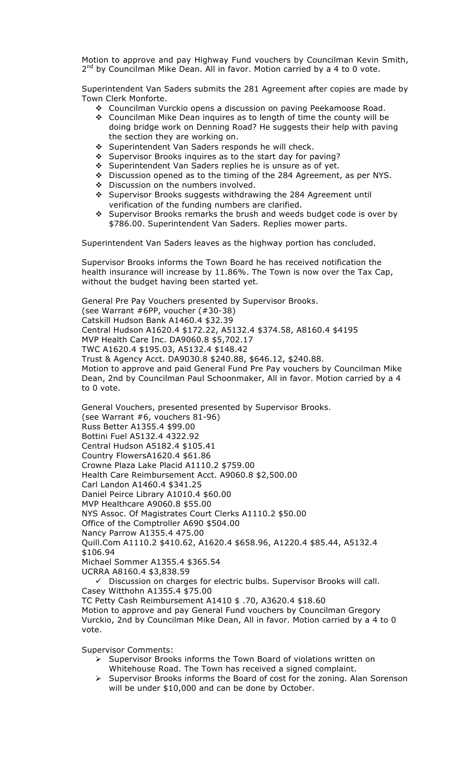Motion to approve and pay Highway Fund vouchers by Councilman Kevin Smith,  $2^{nd}$  by Councilman Mike Dean. All in favor. Motion carried by a 4 to 0 vote.

Superintendent Van Saders submits the 281 Agreement after copies are made by Town Clerk Monforte.

- # Councilman Vurckio opens a discussion on paving Peekamoose Road.
- # Councilman Mike Dean inquires as to length of time the county will be doing bridge work on Denning Road? He suggests their help with paving the section they are working on.
- \* Superintendent Van Saders responds he will check.
- \* Supervisor Brooks inquires as to the start day for paving?
- \* Superintendent Van Saders replies he is unsure as of yet.
- # Discussion opened as to the timing of the 284 Agreement, as per NYS.
- ◆ Discussion on the numbers involved.
- # Supervisor Brooks suggests withdrawing the 284 Agreement until verification of the funding numbers are clarified.
- # Supervisor Brooks remarks the brush and weeds budget code is over by \$786.00. Superintendent Van Saders. Replies mower parts.

Superintendent Van Saders leaves as the highway portion has concluded.

Supervisor Brooks informs the Town Board he has received notification the health insurance will increase by 11.86%. The Town is now over the Tax Cap, without the budget having been started yet.

General Pre Pay Vouchers presented by Supervisor Brooks. (see Warrant #6PP, voucher (#30-38) Catskill Hudson Bank A1460.4 \$32.39 Central Hudson A1620.4 \$172.22, A5132.4 \$374.58, A8160.4 \$4195 MVP Health Care Inc. DA9060.8 \$5,702.17 TWC A1620.4 \$195.03, A5132.4 \$148.42 Trust & Agency Acct. DA9030.8 \$240.88, \$646.12, \$240.88. Motion to approve and paid General Fund Pre Pay vouchers by Councilman Mike Dean, 2nd by Councilman Paul Schoonmaker, All in favor. Motion carried by a 4 to 0 vote.

General Vouchers, presented presented by Supervisor Brooks. (see Warrant #6, vouchers 81-96) Russ Better A1355.4 \$99.00 Bottini Fuel A5132.4 4322.92 Central Hudson A5182.4 \$105.41 Country FlowersA1620.4 \$61.86 Crowne Plaza Lake Placid A1110.2 \$759.00 Health Care Reimbursement Acct. A9060.8 \$2,500.00 Carl Landon A1460.4 \$341.25 Daniel Peirce Library A1010.4 \$60.00 MVP Healthcare A9060.8 \$55.00 NYS Assoc. Of Magistrates Court Clerks A1110.2 \$50.00 Office of the Comptroller A690 \$504.00 Nancy Parrow A1355.4 475.00 Quill.Com A1110.2 \$410.62, A1620.4 \$658.96, A1220.4 \$85.44, A5132.4 \$106.94 Michael Sommer A1355.4 \$365.54 UCRRA A8160.4 \$3,838.59  $\checkmark$  Discussion on charges for electric bulbs. Supervisor Brooks will call. Casey Witthohn A1355.4 \$75.00

TC Petty Cash Reimbursement A1410 \$ .70, A3620.4 \$18.60 Motion to approve and pay General Fund vouchers by Councilman Gregory Vurckio, 2nd by Councilman Mike Dean, All in favor. Motion carried by a 4 to 0 vote.

Supervisor Comments:

- $\triangleright$  Supervisor Brooks informs the Town Board of violations written on Whitehouse Road. The Town has received a signed complaint.
- $\triangleright$  Supervisor Brooks informs the Board of cost for the zoning. Alan Sorenson will be under \$10,000 and can be done by October.